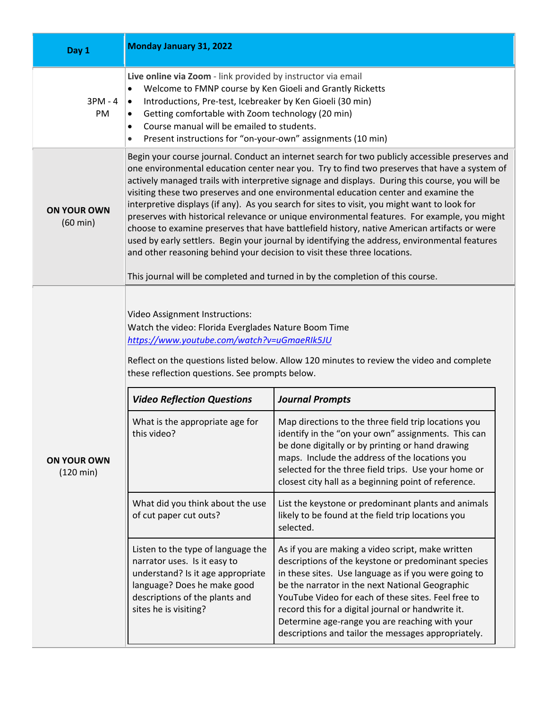| Day 1                                     | <b>Monday January 31, 2022</b>                                                                                                                                                                                                                                                                                                                                                                                                                                                                                                                                                                                                                                                                                                                                                                                                                                                                                                                           |                                                                                                                                                                                                                                                                                                                                                                                                                                           |  |
|-------------------------------------------|----------------------------------------------------------------------------------------------------------------------------------------------------------------------------------------------------------------------------------------------------------------------------------------------------------------------------------------------------------------------------------------------------------------------------------------------------------------------------------------------------------------------------------------------------------------------------------------------------------------------------------------------------------------------------------------------------------------------------------------------------------------------------------------------------------------------------------------------------------------------------------------------------------------------------------------------------------|-------------------------------------------------------------------------------------------------------------------------------------------------------------------------------------------------------------------------------------------------------------------------------------------------------------------------------------------------------------------------------------------------------------------------------------------|--|
| $3PM - 4$<br>PM                           | Live online via Zoom - link provided by instructor via email<br>Welcome to FMNP course by Ken Gioeli and Grantly Ricketts<br>$\bullet$<br>Introductions, Pre-test, Icebreaker by Ken Gioeli (30 min)<br>$\bullet$<br>Getting comfortable with Zoom technology (20 min)<br>$\bullet$<br>Course manual will be emailed to students.<br>٠<br>Present instructions for "on-your-own" assignments (10 min)                                                                                                                                                                                                                                                                                                                                                                                                                                                                                                                                                    |                                                                                                                                                                                                                                                                                                                                                                                                                                           |  |
| <b>ON YOUR OWN</b><br>$(60 \text{ min})$  | Begin your course journal. Conduct an internet search for two publicly accessible preserves and<br>one environmental education center near you. Try to find two preserves that have a system of<br>actively managed trails with interpretive signage and displays. During this course, you will be<br>visiting these two preserves and one environmental education center and examine the<br>interpretive displays (if any). As you search for sites to visit, you might want to look for<br>preserves with historical relevance or unique environmental features. For example, you might<br>choose to examine preserves that have battlefield history, native American artifacts or were<br>used by early settlers. Begin your journal by identifying the address, environmental features<br>and other reasoning behind your decision to visit these three locations.<br>This journal will be completed and turned in by the completion of this course. |                                                                                                                                                                                                                                                                                                                                                                                                                                           |  |
| <b>ON YOUR OWN</b><br>$(120 \text{ min})$ | Video Assignment Instructions:<br>Watch the video: Florida Everglades Nature Boom Time<br>https://www.youtube.com/watch?v=uGmaeRIk5JU<br>Reflect on the questions listed below. Allow 120 minutes to review the video and complete<br>these reflection questions. See prompts below.                                                                                                                                                                                                                                                                                                                                                                                                                                                                                                                                                                                                                                                                     |                                                                                                                                                                                                                                                                                                                                                                                                                                           |  |
|                                           | <b>Video Reflection Questions</b>                                                                                                                                                                                                                                                                                                                                                                                                                                                                                                                                                                                                                                                                                                                                                                                                                                                                                                                        | <b>Journal Prompts</b>                                                                                                                                                                                                                                                                                                                                                                                                                    |  |
|                                           | What is the appropriate age for<br>this video?                                                                                                                                                                                                                                                                                                                                                                                                                                                                                                                                                                                                                                                                                                                                                                                                                                                                                                           | Map directions to the three field trip locations you<br>identify in the "on your own" assignments. This can<br>be done digitally or by printing or hand drawing<br>maps. Include the address of the locations you<br>selected for the three field trips. Use your home or<br>closest city hall as a beginning point of reference.                                                                                                         |  |
|                                           | What did you think about the use<br>of cut paper cut outs?                                                                                                                                                                                                                                                                                                                                                                                                                                                                                                                                                                                                                                                                                                                                                                                                                                                                                               | List the keystone or predominant plants and animals<br>likely to be found at the field trip locations you<br>selected.                                                                                                                                                                                                                                                                                                                    |  |
|                                           | Listen to the type of language the<br>narrator uses. Is it easy to<br>understand? Is it age appropriate<br>language? Does he make good<br>descriptions of the plants and<br>sites he is visiting?                                                                                                                                                                                                                                                                                                                                                                                                                                                                                                                                                                                                                                                                                                                                                        | As if you are making a video script, make written<br>descriptions of the keystone or predominant species<br>in these sites. Use language as if you were going to<br>be the narrator in the next National Geographic<br>YouTube Video for each of these sites. Feel free to<br>record this for a digital journal or handwrite it.<br>Determine age-range you are reaching with your<br>descriptions and tailor the messages appropriately. |  |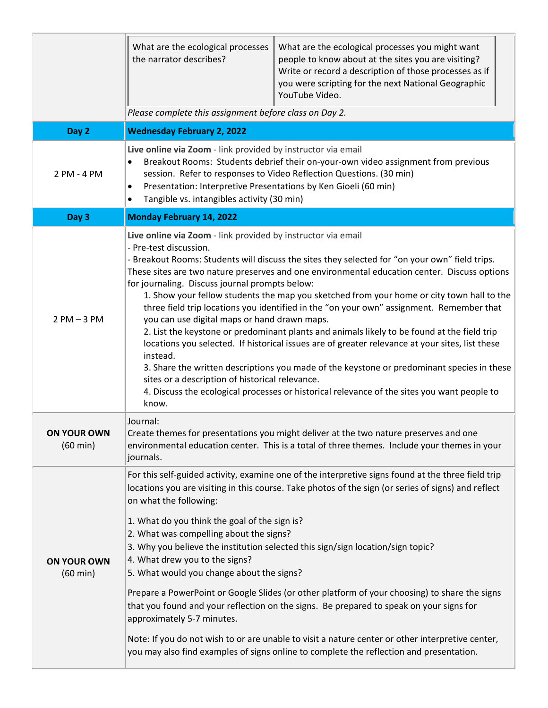|                                          | What are the ecological processes<br>the narrator describes?<br>Please complete this assignment before class on Day 2.                                                                                                                                                                                                                                                                                                                                                                                                                                                                                                                                                                                                                                                                                                                                                                                                                                                                                                                                     | What are the ecological processes you might want<br>people to know about at the sites you are visiting?<br>Write or record a description of those processes as if<br>you were scripting for the next National Geographic<br>YouTube Video.                                                                                                                                                                                                                                                                                                                                                                                                                                              |
|------------------------------------------|------------------------------------------------------------------------------------------------------------------------------------------------------------------------------------------------------------------------------------------------------------------------------------------------------------------------------------------------------------------------------------------------------------------------------------------------------------------------------------------------------------------------------------------------------------------------------------------------------------------------------------------------------------------------------------------------------------------------------------------------------------------------------------------------------------------------------------------------------------------------------------------------------------------------------------------------------------------------------------------------------------------------------------------------------------|-----------------------------------------------------------------------------------------------------------------------------------------------------------------------------------------------------------------------------------------------------------------------------------------------------------------------------------------------------------------------------------------------------------------------------------------------------------------------------------------------------------------------------------------------------------------------------------------------------------------------------------------------------------------------------------------|
| Day 2                                    | <b>Wednesday February 2, 2022</b>                                                                                                                                                                                                                                                                                                                                                                                                                                                                                                                                                                                                                                                                                                                                                                                                                                                                                                                                                                                                                          |                                                                                                                                                                                                                                                                                                                                                                                                                                                                                                                                                                                                                                                                                         |
| 2 PM - 4 PM                              | Live online via Zoom - link provided by instructor via email<br>Breakout Rooms: Students debrief their on-your-own video assignment from previous<br>session. Refer to responses to Video Reflection Questions. (30 min)<br>Presentation: Interpretive Presentations by Ken Gioeli (60 min)<br>$\bullet$<br>Tangible vs. intangibles activity (30 min)<br>$\bullet$                                                                                                                                                                                                                                                                                                                                                                                                                                                                                                                                                                                                                                                                                        |                                                                                                                                                                                                                                                                                                                                                                                                                                                                                                                                                                                                                                                                                         |
| Day 3                                    | <b>Monday February 14, 2022</b>                                                                                                                                                                                                                                                                                                                                                                                                                                                                                                                                                                                                                                                                                                                                                                                                                                                                                                                                                                                                                            |                                                                                                                                                                                                                                                                                                                                                                                                                                                                                                                                                                                                                                                                                         |
| $2$ PM $-$ 3 PM                          | Live online via Zoom - link provided by instructor via email<br>- Pre-test discussion.<br>- Breakout Rooms: Students will discuss the sites they selected for "on your own" field trips.<br>These sites are two nature preserves and one environmental education center. Discuss options<br>for journaling. Discuss journal prompts below:<br>1. Show your fellow students the map you sketched from your home or city town hall to the<br>three field trip locations you identified in the "on your own" assignment. Remember that<br>you can use digital maps or hand drawn maps.<br>2. List the keystone or predominant plants and animals likely to be found at the field trip<br>locations you selected. If historical issues are of greater relevance at your sites, list these<br>instead.<br>3. Share the written descriptions you made of the keystone or predominant species in these<br>sites or a description of historical relevance.<br>4. Discuss the ecological processes or historical relevance of the sites you want people to<br>know. |                                                                                                                                                                                                                                                                                                                                                                                                                                                                                                                                                                                                                                                                                         |
| <b>ON YOUR OWN</b><br>$(60 \text{ min})$ | Journal:<br>journals.                                                                                                                                                                                                                                                                                                                                                                                                                                                                                                                                                                                                                                                                                                                                                                                                                                                                                                                                                                                                                                      | Create themes for presentations you might deliver at the two nature preserves and one<br>environmental education center. This is a total of three themes. Include your themes in your                                                                                                                                                                                                                                                                                                                                                                                                                                                                                                   |
| <b>ON YOUR OWN</b><br>$(60 \text{ min})$ | on what the following:<br>1. What do you think the goal of the sign is?<br>2. What was compelling about the signs?<br>4. What drew you to the signs?<br>5. What would you change about the signs?<br>approximately 5-7 minutes.                                                                                                                                                                                                                                                                                                                                                                                                                                                                                                                                                                                                                                                                                                                                                                                                                            | For this self-guided activity, examine one of the interpretive signs found at the three field trip<br>locations you are visiting in this course. Take photos of the sign (or series of signs) and reflect<br>3. Why you believe the institution selected this sign/sign location/sign topic?<br>Prepare a PowerPoint or Google Slides (or other platform of your choosing) to share the signs<br>that you found and your reflection on the signs. Be prepared to speak on your signs for<br>Note: If you do not wish to or are unable to visit a nature center or other interpretive center,<br>you may also find examples of signs online to complete the reflection and presentation. |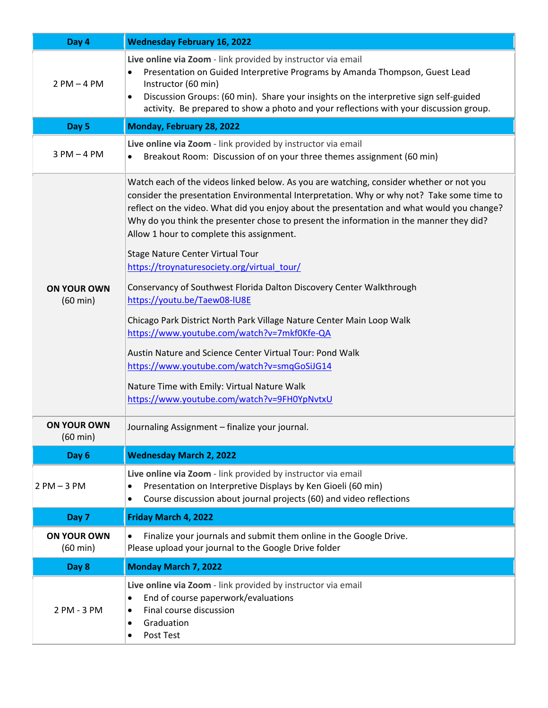| Day 4                                    | <b>Wednesday February 16, 2022</b>                                                                                                                                                                                                                                                                                                                                                                                                                                                                            |  |
|------------------------------------------|---------------------------------------------------------------------------------------------------------------------------------------------------------------------------------------------------------------------------------------------------------------------------------------------------------------------------------------------------------------------------------------------------------------------------------------------------------------------------------------------------------------|--|
| $2 PM - 4 PM$                            | Live online via Zoom - link provided by instructor via email<br>Presentation on Guided Interpretive Programs by Amanda Thompson, Guest Lead<br>$\bullet$<br>Instructor (60 min)<br>Discussion Groups: (60 min). Share your insights on the interpretive sign self-guided<br>$\bullet$<br>activity. Be prepared to show a photo and your reflections with your discussion group.                                                                                                                               |  |
| Day 5                                    | Monday, February 28, 2022                                                                                                                                                                                                                                                                                                                                                                                                                                                                                     |  |
| $3 PM - 4 PM$                            | Live online via Zoom - link provided by instructor via email<br>Breakout Room: Discussion of on your three themes assignment (60 min)                                                                                                                                                                                                                                                                                                                                                                         |  |
|                                          | Watch each of the videos linked below. As you are watching, consider whether or not you<br>consider the presentation Environmental Interpretation. Why or why not? Take some time to<br>reflect on the video. What did you enjoy about the presentation and what would you change?<br>Why do you think the presenter chose to present the information in the manner they did?<br>Allow 1 hour to complete this assignment.<br>Stage Nature Center Virtual Tour<br>https://troynaturesociety.org/virtual_tour/ |  |
| <b>ON YOUR OWN</b><br>$(60 \text{ min})$ | Conservancy of Southwest Florida Dalton Discovery Center Walkthrough<br>https://youtu.be/Taew08-IU8E                                                                                                                                                                                                                                                                                                                                                                                                          |  |
|                                          | Chicago Park District North Park Village Nature Center Main Loop Walk<br>https://www.youtube.com/watch?v=7mkf0Kfe-QA                                                                                                                                                                                                                                                                                                                                                                                          |  |
|                                          | Austin Nature and Science Center Virtual Tour: Pond Walk<br>https://www.youtube.com/watch?v=smqGoSiJG14<br>Nature Time with Emily: Virtual Nature Walk<br>https://www.youtube.com/watch?v=9FH0YpNvtxU                                                                                                                                                                                                                                                                                                         |  |
| <b>ON YOUR OWN</b><br>$(60 \text{ min})$ | Journaling Assignment - finalize your journal.                                                                                                                                                                                                                                                                                                                                                                                                                                                                |  |
| Day 6                                    | <b>Wednesday March 2, 2022</b>                                                                                                                                                                                                                                                                                                                                                                                                                                                                                |  |
| $2 PM - 3 PM$                            | Live online via Zoom - link provided by instructor via email<br>Presentation on Interpretive Displays by Ken Gioeli (60 min)<br>٠<br>Course discussion about journal projects (60) and video reflections<br>$\bullet$                                                                                                                                                                                                                                                                                         |  |
| Day 7                                    | Friday March 4, 2022                                                                                                                                                                                                                                                                                                                                                                                                                                                                                          |  |
| <b>ON YOUR OWN</b><br>$(60 \text{ min})$ | Finalize your journals and submit them online in the Google Drive.<br>$\bullet$<br>Please upload your journal to the Google Drive folder                                                                                                                                                                                                                                                                                                                                                                      |  |
| Day 8                                    | <b>Monday March 7, 2022</b>                                                                                                                                                                                                                                                                                                                                                                                                                                                                                   |  |
| 2 PM - 3 PM                              | Live online via Zoom - link provided by instructor via email<br>End of course paperwork/evaluations<br>$\bullet$<br>Final course discussion<br>$\bullet$<br>Graduation<br>$\bullet$<br>Post Test<br>٠                                                                                                                                                                                                                                                                                                         |  |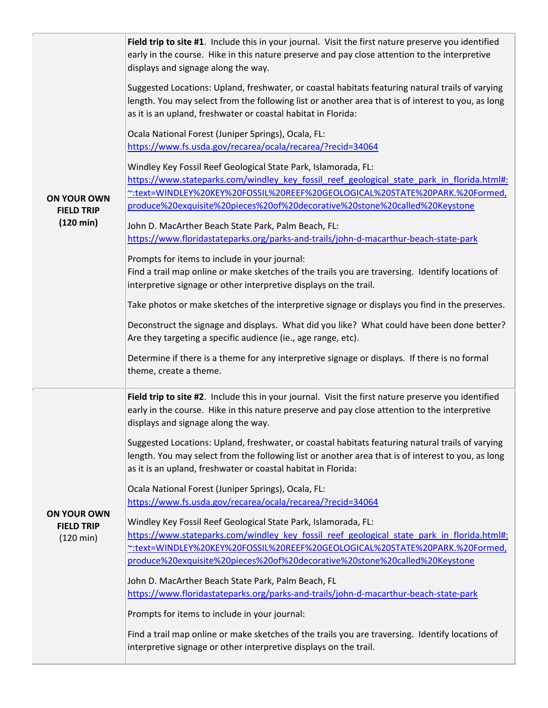| <b>ON YOUR OWN</b><br><b>FIELD TRIP</b><br>$(120 \text{ min})$ | Field trip to site #1. Include this in your journal. Visit the first nature preserve you identified<br>early in the course. Hike in this nature preserve and pay close attention to the interpretive<br>displays and signage along the way.<br>Suggested Locations: Upland, freshwater, or coastal habitats featuring natural trails of varying<br>length. You may select from the following list or another area that is of interest to you, as long<br>as it is an upland, freshwater or coastal habitat in Florida:<br>Ocala National Forest (Juniper Springs), Ocala, FL:<br>https://www.fs.usda.gov/recarea/ocala/recarea/?recid=34064<br>Windley Key Fossil Reef Geological State Park, Islamorada, FL:<br>https://www.stateparks.com/windley_key_fossil_reef_geological_state_park_in_florida.html#:<br>~:text=WINDLEY%20KEY%20FOSSIL%20REEF%20GEOLOGICAL%20STATE%20PARK.%20Formed,<br>produce%20exquisite%20pieces%20of%20decorative%20stone%20called%20Keystone<br>John D. MacArther Beach State Park, Palm Beach, FL:<br>https://www.floridastateparks.org/parks-and-trails/john-d-macarthur-beach-state-park<br>Prompts for items to include in your journal:<br>Find a trail map online or make sketches of the trails you are traversing. Identify locations of<br>interpretive signage or other interpretive displays on the trail.<br>Take photos or make sketches of the interpretive signage or displays you find in the preserves.<br>Deconstruct the signage and displays. What did you like? What could have been done better?<br>Are they targeting a specific audience (ie., age range, etc). |
|----------------------------------------------------------------|---------------------------------------------------------------------------------------------------------------------------------------------------------------------------------------------------------------------------------------------------------------------------------------------------------------------------------------------------------------------------------------------------------------------------------------------------------------------------------------------------------------------------------------------------------------------------------------------------------------------------------------------------------------------------------------------------------------------------------------------------------------------------------------------------------------------------------------------------------------------------------------------------------------------------------------------------------------------------------------------------------------------------------------------------------------------------------------------------------------------------------------------------------------------------------------------------------------------------------------------------------------------------------------------------------------------------------------------------------------------------------------------------------------------------------------------------------------------------------------------------------------------------------------------------------------------------------------------------------------------|
| <b>ON YOUR OWN</b><br><b>FIELD TRIP</b><br>$(120 \text{ min})$ | Determine if there is a theme for any interpretive signage or displays. If there is no formal<br>theme, create a theme.<br>Field trip to site #2. Include this in your journal. Visit the first nature preserve you identified<br>early in the course. Hike in this nature preserve and pay close attention to the interpretive<br>displays and signage along the way.<br>Suggested Locations: Upland, freshwater, or coastal habitats featuring natural trails of varying<br>length. You may select from the following list or another area that is of interest to you, as long<br>as it is an upland, freshwater or coastal habitat in Florida:<br>Ocala National Forest (Juniper Springs), Ocala, FL:<br>https://www.fs.usda.gov/recarea/ocala/recarea/?recid=34064<br>Windley Key Fossil Reef Geological State Park, Islamorada, FL:<br>https://www.stateparks.com/windley key fossil reef geological state park in florida.html#:<br>":text=WINDLEY%20KEY%20FOSSIL%20REEF%20GEOLOGICAL%20STATE%20PARK.%20Formed,<br>produce%20exquisite%20pieces%20of%20decorative%20stone%20called%20Keystone<br>John D. MacArther Beach State Park, Palm Beach, FL<br>https://www.floridastateparks.org/parks-and-trails/john-d-macarthur-beach-state-park<br>Prompts for items to include in your journal:<br>Find a trail map online or make sketches of the trails you are traversing. Identify locations of<br>interpretive signage or other interpretive displays on the trail.                                                                                                                                         |